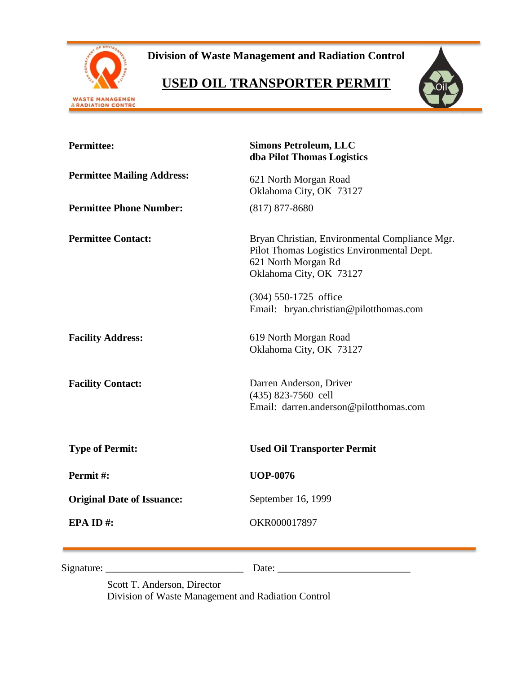

**Division of Waste Management and Radiation Control**

# **USED OIL TRANSPORTER PERMIT**



| <b>Permittee:</b>                 | <b>Simons Petroleum, LLC</b><br>dba Pilot Thomas Logistics                                                                                     |  |  |
|-----------------------------------|------------------------------------------------------------------------------------------------------------------------------------------------|--|--|
| <b>Permittee Mailing Address:</b> | 621 North Morgan Road<br>Oklahoma City, OK 73127                                                                                               |  |  |
| <b>Permittee Phone Number:</b>    | $(817)$ 877-8680                                                                                                                               |  |  |
| <b>Permittee Contact:</b>         | Bryan Christian, Environmental Compliance Mgr.<br>Pilot Thomas Logistics Environmental Dept.<br>621 North Morgan Rd<br>Oklahoma City, OK 73127 |  |  |
|                                   | (304) 550-1725 office<br>Email: bryan.christian@pilotthomas.com                                                                                |  |  |
| <b>Facility Address:</b>          | 619 North Morgan Road<br>Oklahoma City, OK 73127                                                                                               |  |  |
| <b>Facility Contact:</b>          | Darren Anderson, Driver<br>(435) 823-7560 cell<br>Email: darren.anderson@pilotthomas.com                                                       |  |  |
| <b>Type of Permit:</b>            | <b>Used Oil Transporter Permit</b>                                                                                                             |  |  |
| Permit#:                          | <b>UOP-0076</b>                                                                                                                                |  |  |
| <b>Original Date of Issuance:</b> | September 16, 1999                                                                                                                             |  |  |
| EPA ID#:                          | OKR000017897                                                                                                                                   |  |  |
| Signature:                        | Date:                                                                                                                                          |  |  |

Scott T. Anderson, Director Division of Waste Management and Radiation Control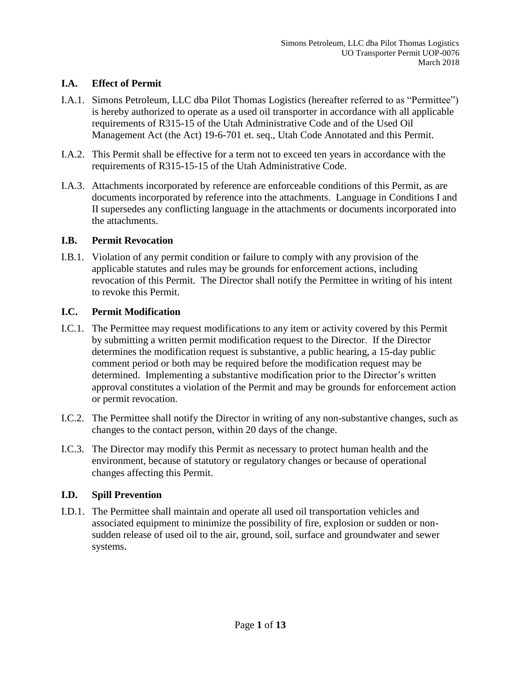# **I.A. Effect of Permit**

- I.A.1. Simons Petroleum, LLC dba Pilot Thomas Logistics (hereafter referred to as "Permittee") is hereby authorized to operate as a used oil transporter in accordance with all applicable requirements of R315-15 of the Utah Administrative Code and of the Used Oil Management Act (the Act) 19-6-701 et. seq., Utah Code Annotated and this Permit.
- I.A.2. This Permit shall be effective for a term not to exceed ten years in accordance with the requirements of R315-15-15 of the Utah Administrative Code.
- I.A.3. Attachments incorporated by reference are enforceable conditions of this Permit, as are documents incorporated by reference into the attachments. Language in Conditions I and II supersedes any conflicting language in the attachments or documents incorporated into the attachments.

#### **I.B. Permit Revocation**

I.B.1. Violation of any permit condition or failure to comply with any provision of the applicable statutes and rules may be grounds for enforcement actions, including revocation of this Permit. The Director shall notify the Permittee in writing of his intent to revoke this Permit.

#### **I.C. Permit Modification**

- I.C.1. The Permittee may request modifications to any item or activity covered by this Permit by submitting a written permit modification request to the Director. If the Director determines the modification request is substantive, a public hearing, a 15-day public comment period or both may be required before the modification request may be determined. Implementing a substantive modification prior to the Director's written approval constitutes a violation of the Permit and may be grounds for enforcement action or permit revocation.
- I.C.2. The Permittee shall notify the Director in writing of any non-substantive changes, such as changes to the contact person, within 20 days of the change.
- I.C.3. The Director may modify this Permit as necessary to protect human health and the environment, because of statutory or regulatory changes or because of operational changes affecting this Permit.

## **I.D. Spill Prevention**

I.D.1. The Permittee shall maintain and operate all used oil transportation vehicles and associated equipment to minimize the possibility of fire, explosion or sudden or nonsudden release of used oil to the air, ground, soil, surface and groundwater and sewer systems.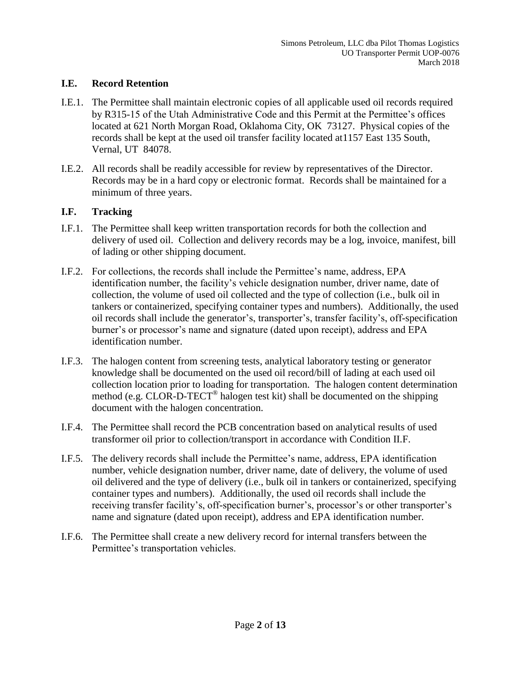#### **I.E. Record Retention**

- I.E.1. The Permittee shall maintain electronic copies of all applicable used oil records required by R315-15 of the Utah Administrative Code and this Permit at the Permittee's offices located at 621 North Morgan Road, Oklahoma City, OK 73127. Physical copies of the records shall be kept at the used oil transfer facility located at1157 East 135 South, Vernal, UT 84078.
- I.E.2. All records shall be readily accessible for review by representatives of the Director. Records may be in a hard copy or electronic format. Records shall be maintained for a minimum of three years.

## **I.F. Tracking**

- I.F.1. The Permittee shall keep written transportation records for both the collection and delivery of used oil. Collection and delivery records may be a log, invoice, manifest, bill of lading or other shipping document.
- I.F.2. For collections, the records shall include the Permittee's name, address, EPA identification number, the facility's vehicle designation number, driver name, date of collection, the volume of used oil collected and the type of collection (i.e., bulk oil in tankers or containerized, specifying container types and numbers). Additionally, the used oil records shall include the generator's, transporter's, transfer facility's, off-specification burner's or processor's name and signature (dated upon receipt), address and EPA identification number.
- I.F.3. The halogen content from screening tests, analytical laboratory testing or generator knowledge shall be documented on the used oil record/bill of lading at each used oil collection location prior to loading for transportation. The halogen content determination method (e.g. CLOR-D-TECT<sup>®</sup> halogen test kit) shall be documented on the shipping document with the halogen concentration.
- I.F.4. The Permittee shall record the PCB concentration based on analytical results of used transformer oil prior to collection/transport in accordance with Condition II.F.
- I.F.5. The delivery records shall include the Permittee's name, address, EPA identification number, vehicle designation number, driver name, date of delivery, the volume of used oil delivered and the type of delivery (i.e., bulk oil in tankers or containerized, specifying container types and numbers). Additionally, the used oil records shall include the receiving transfer facility's, off-specification burner's, processor's or other transporter's name and signature (dated upon receipt), address and EPA identification number.
- I.F.6. The Permittee shall create a new delivery record for internal transfers between the Permittee's transportation vehicles.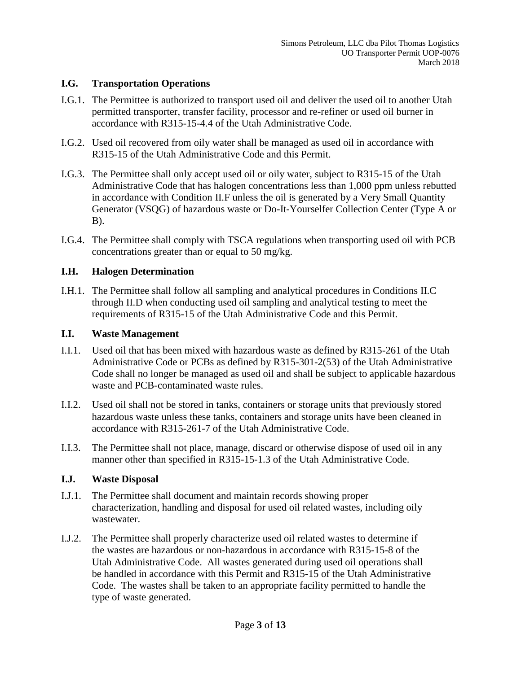#### **I.G. Transportation Operations**

- I.G.1. The Permittee is authorized to transport used oil and deliver the used oil to another Utah permitted transporter, transfer facility, processor and re-refiner or used oil burner in accordance with R315-15-4.4 of the Utah Administrative Code.
- I.G.2. Used oil recovered from oily water shall be managed as used oil in accordance with R315-15 of the Utah Administrative Code and this Permit.
- I.G.3. The Permittee shall only accept used oil or oily water, subject to R315-15 of the Utah Administrative Code that has halogen concentrations less than 1,000 ppm unless rebutted in accordance with Condition II.F unless the oil is generated by a Very Small Quantity Generator (VSQG) of hazardous waste or Do-It-Yourselfer Collection Center (Type A or B).
- I.G.4. The Permittee shall comply with TSCA regulations when transporting used oil with PCB concentrations greater than or equal to 50 mg/kg.

## **I.H. Halogen Determination**

I.H.1. The Permittee shall follow all sampling and analytical procedures in Conditions II.C through II.D when conducting used oil sampling and analytical testing to meet the requirements of R315-15 of the Utah Administrative Code and this Permit.

#### **I.I. Waste Management**

- I.I.1. Used oil that has been mixed with hazardous waste as defined by R315-261 of the Utah Administrative Code or PCBs as defined by R315-301-2(53) of the Utah Administrative Code shall no longer be managed as used oil and shall be subject to applicable hazardous waste and PCB-contaminated waste rules.
- I.I.2. Used oil shall not be stored in tanks, containers or storage units that previously stored hazardous waste unless these tanks, containers and storage units have been cleaned in accordance with R315-261-7 of the Utah Administrative Code.
- I.I.3. The Permittee shall not place, manage, discard or otherwise dispose of used oil in any manner other than specified in R315-15-1.3 of the Utah Administrative Code.

## **I.J. Waste Disposal**

- I.J.1. The Permittee shall document and maintain records showing proper characterization, handling and disposal for used oil related wastes, including oily wastewater.
- I.J.2. The Permittee shall properly characterize used oil related wastes to determine if the wastes are hazardous or non-hazardous in accordance with R315-15-8 of the Utah Administrative Code. All wastes generated during used oil operations shall be handled in accordance with this Permit and R315-15 of the Utah Administrative Code. The wastes shall be taken to an appropriate facility permitted to handle the type of waste generated.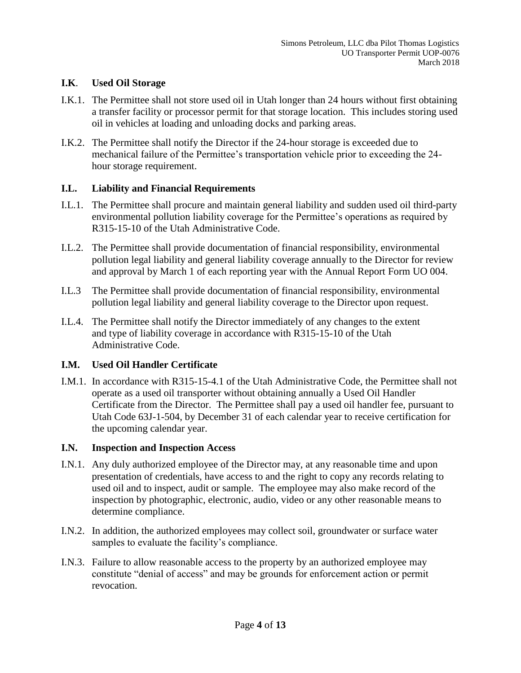## **I.K**. **Used Oil Storage**

- I.K.1. The Permittee shall not store used oil in Utah longer than 24 hours without first obtaining a transfer facility or processor permit for that storage location. This includes storing used oil in vehicles at loading and unloading docks and parking areas.
- I.K.2. The Permittee shall notify the Director if the 24-hour storage is exceeded due to mechanical failure of the Permittee's transportation vehicle prior to exceeding the 24 hour storage requirement.

## **I.L. Liability and Financial Requirements**

- I.L.1. The Permittee shall procure and maintain general liability and sudden used oil third-party environmental pollution liability coverage for the Permittee's operations as required by R315-15-10 of the Utah Administrative Code.
- I.L.2. The Permittee shall provide documentation of financial responsibility, environmental pollution legal liability and general liability coverage annually to the Director for review and approval by March 1 of each reporting year with the Annual Report Form UO 004.
- I.L.3 The Permittee shall provide documentation of financial responsibility, environmental pollution legal liability and general liability coverage to the Director upon request.
- I.L.4. The Permittee shall notify the Director immediately of any changes to the extent and type of liability coverage in accordance with R315-15-10 of the Utah Administrative Code.

## **I.M. Used Oil Handler Certificate**

I.M.1. In accordance with R315-15-4.1 of the Utah Administrative Code, the Permittee shall not operate as a used oil transporter without obtaining annually a Used Oil Handler Certificate from the Director. The Permittee shall pay a used oil handler fee, pursuant to Utah Code 63J-1-504, by December 31 of each calendar year to receive certification for the upcoming calendar year.

## **I.N. Inspection and Inspection Access**

- I.N.1. Any duly authorized employee of the Director may, at any reasonable time and upon presentation of credentials, have access to and the right to copy any records relating to used oil and to inspect, audit or sample. The employee may also make record of the inspection by photographic, electronic, audio, video or any other reasonable means to determine compliance.
- I.N.2. In addition, the authorized employees may collect soil, groundwater or surface water samples to evaluate the facility's compliance.
- I.N.3. Failure to allow reasonable access to the property by an authorized employee may constitute "denial of access" and may be grounds for enforcement action or permit revocation.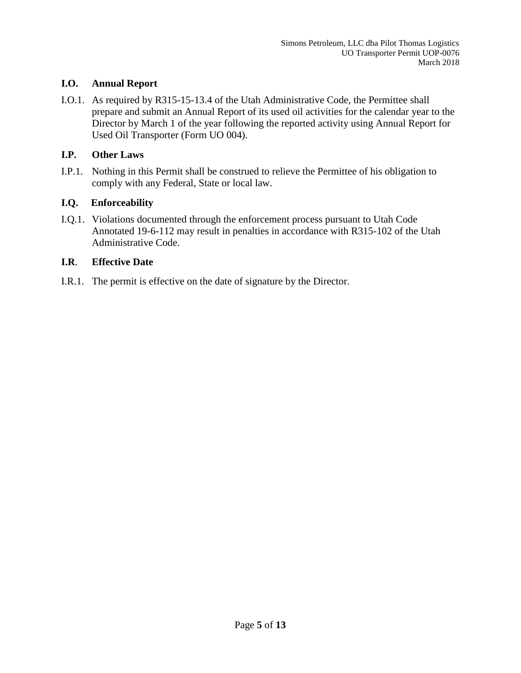## **I.O. Annual Report**

I.O.1. As required by R315-15-13.4 of the Utah Administrative Code, the Permittee shall prepare and submit an Annual Report of its used oil activities for the calendar year to the Director by March 1 of the year following the reported activity using Annual Report for Used Oil Transporter (Form UO 004).

# **I.P. Other Laws**

I.P.1. Nothing in this Permit shall be construed to relieve the Permittee of his obligation to comply with any Federal, State or local law.

# **I.Q. Enforceability**

I.Q.1. Violations documented through the enforcement process pursuant to Utah Code Annotated 19-6-112 may result in penalties in accordance with R315-102 of the Utah Administrative Code.

## **I.R**. **Effective Date**

I.R.1. The permit is effective on the date of signature by the Director.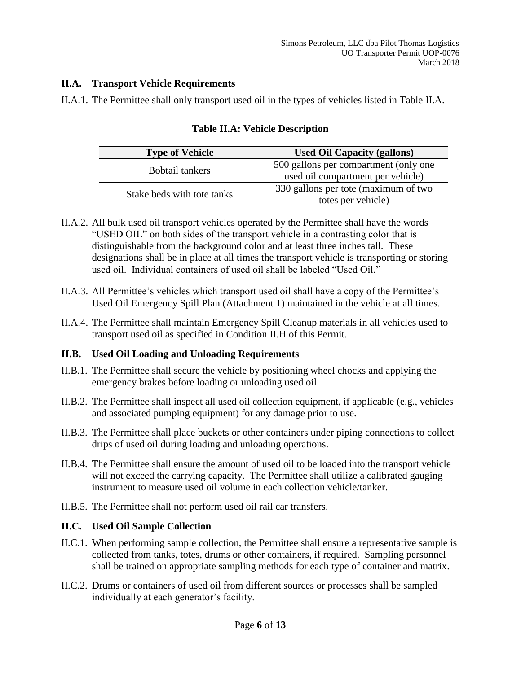## **II.A. Transport Vehicle Requirements**

II.A.1. The Permittee shall only transport used oil in the types of vehicles listed in Table II.A.

| <b>Type of Vehicle</b>     | <b>Used Oil Capacity (gallons)</b>    |
|----------------------------|---------------------------------------|
| <b>Bobtail tankers</b>     | 500 gallons per compartment (only one |
|                            | used oil compartment per vehicle)     |
| Stake beds with tote tanks | 330 gallons per tote (maximum of two  |
|                            | totes per vehicle)                    |

# **Table II.A: Vehicle Description**

- II.A.2. All bulk used oil transport vehicles operated by the Permittee shall have the words "USED OIL" on both sides of the transport vehicle in a contrasting color that is distinguishable from the background color and at least three inches tall. These designations shall be in place at all times the transport vehicle is transporting or storing used oil. Individual containers of used oil shall be labeled "Used Oil."
- II.A.3. All Permittee's vehicles which transport used oil shall have a copy of the Permittee's Used Oil Emergency Spill Plan (Attachment 1) maintained in the vehicle at all times.
- II.A.4. The Permittee shall maintain Emergency Spill Cleanup materials in all vehicles used to transport used oil as specified in Condition II.H of this Permit.

## **II.B. Used Oil Loading and Unloading Requirements**

- II.B.1. The Permittee shall secure the vehicle by positioning wheel chocks and applying the emergency brakes before loading or unloading used oil.
- II.B.2. The Permittee shall inspect all used oil collection equipment, if applicable (e.g., vehicles and associated pumping equipment) for any damage prior to use.
- II.B.3. The Permittee shall place buckets or other containers under piping connections to collect drips of used oil during loading and unloading operations.
- II.B.4. The Permittee shall ensure the amount of used oil to be loaded into the transport vehicle will not exceed the carrying capacity. The Permittee shall utilize a calibrated gauging instrument to measure used oil volume in each collection vehicle/tanker.
- II.B.5. The Permittee shall not perform used oil rail car transfers.

## **II.C. Used Oil Sample Collection**

- II.C.1. When performing sample collection, the Permittee shall ensure a representative sample is collected from tanks, totes, drums or other containers, if required. Sampling personnel shall be trained on appropriate sampling methods for each type of container and matrix.
- II.C.2. Drums or containers of used oil from different sources or processes shall be sampled individually at each generator's facility.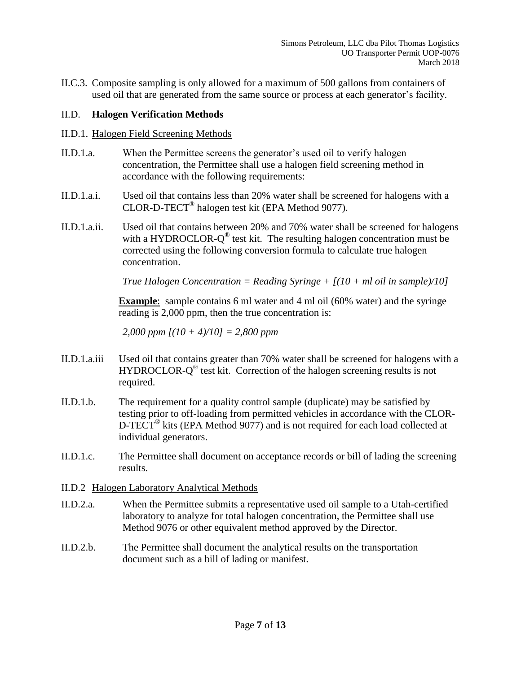II.C.3. Composite sampling is only allowed for a maximum of 500 gallons from containers of used oil that are generated from the same source or process at each generator's facility.

## II.D. **Halogen Verification Methods**

## II.D.1. Halogen Field Screening Methods

- II.D.1.a. When the Permittee screens the generator's used oil to verify halogen concentration, the Permittee shall use a halogen field screening method in accordance with the following requirements:
- II.D.1.a.i. Used oil that contains less than 20% water shall be screened for halogens with a CLOR-D-TECT® halogen test kit (EPA Method 9077).
- II.D.1.a.ii. Used oil that contains between 20% and 70% water shall be screened for halogens with a HYDROCLOR- $Q^{\circledast}$  test kit. The resulting halogen concentration must be corrected using the following conversion formula to calculate true halogen concentration.

*True Halogen Concentration = Reading Syringe + [(10 + ml oil in sample)/10]*

**Example**: sample contains 6 ml water and 4 ml oil (60% water) and the syringe reading is 2,000 ppm, then the true concentration is:

*2,000 ppm [(10 + 4)/10] = 2,800 ppm*

- II.D.1.a.iii Used oil that contains greater than 70% water shall be screened for halogens with a HYDROCLOR-Q<sup>®</sup> test kit. Correction of the halogen screening results is not required.
- II.D.1.b. The requirement for a quality control sample (duplicate) may be satisfied by testing prior to off-loading from permitted vehicles in accordance with the CLOR-D-TECT<sup>®</sup> kits (EPA Method 9077) and is not required for each load collected at individual generators.
- II.D.1.c. The Permittee shall document on acceptance records or bill of lading the screening results.
- II.D.2 Halogen Laboratory Analytical Methods
- II.D.2.a. When the Permittee submits a representative used oil sample to a Utah-certified laboratory to analyze for total halogen concentration, the Permittee shall use Method 9076 or other equivalent method approved by the Director.
- II.D.2.b. The Permittee shall document the analytical results on the transportation document such as a bill of lading or manifest.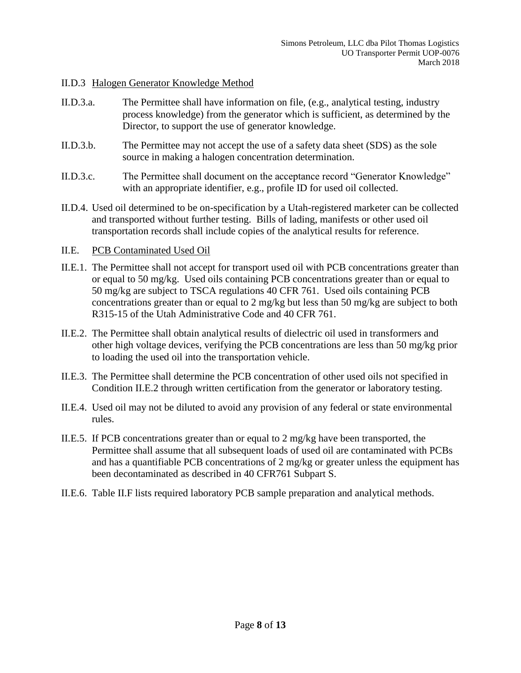#### II.D.3 Halogen Generator Knowledge Method

- II.D.3.a. The Permittee shall have information on file, (e.g., analytical testing, industry process knowledge) from the generator which is sufficient, as determined by the Director, to support the use of generator knowledge.
- II.D.3.b. The Permittee may not accept the use of a safety data sheet (SDS) as the sole source in making a halogen concentration determination.
- II.D.3.c. The Permittee shall document on the acceptance record "Generator Knowledge" with an appropriate identifier, e.g., profile ID for used oil collected.
- II.D.4. Used oil determined to be on-specification by a Utah-registered marketer can be collected and transported without further testing. Bills of lading, manifests or other used oil transportation records shall include copies of the analytical results for reference.

#### II.E. PCB Contaminated Used Oil

- II.E.1. The Permittee shall not accept for transport used oil with PCB concentrations greater than or equal to 50 mg/kg. Used oils containing PCB concentrations greater than or equal to 50 mg/kg are subject to TSCA regulations 40 CFR 761. Used oils containing PCB concentrations greater than or equal to 2 mg/kg but less than 50 mg/kg are subject to both R315-15 of the Utah Administrative Code and 40 CFR 761.
- II.E.2. The Permittee shall obtain analytical results of dielectric oil used in transformers and other high voltage devices, verifying the PCB concentrations are less than 50 mg/kg prior to loading the used oil into the transportation vehicle.
- II.E.3. The Permittee shall determine the PCB concentration of other used oils not specified in Condition II.E.2 through written certification from the generator or laboratory testing.
- II.E.4. Used oil may not be diluted to avoid any provision of any federal or state environmental rules.
- II.E.5. If PCB concentrations greater than or equal to 2 mg/kg have been transported, the Permittee shall assume that all subsequent loads of used oil are contaminated with PCBs and has a quantifiable PCB concentrations of 2 mg/kg or greater unless the equipment has been decontaminated as described in 40 CFR761 Subpart S.
- II.E.6. Table II.F lists required laboratory PCB sample preparation and analytical methods.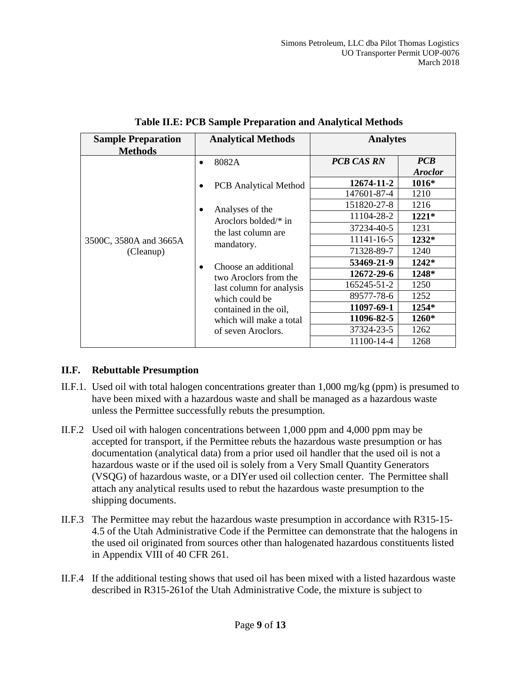| <b>Sample Preparation</b><br><b>Methods</b>      | <b>Analytical Methods</b> |                                                                                                                                                                       | <b>Analytes</b>   |                              |
|--------------------------------------------------|---------------------------|-----------------------------------------------------------------------------------------------------------------------------------------------------------------------|-------------------|------------------------------|
| $\bullet$<br>3500C, 3580A and 3665A<br>(Cleanup) |                           | 8082A                                                                                                                                                                 | <b>PCB CAS RN</b> | <b>PCB</b><br><b>Aroclor</b> |
|                                                  |                           | <b>PCB</b> Analytical Method                                                                                                                                          | 12674-11-2        | $1016*$                      |
|                                                  |                           |                                                                                                                                                                       | 147601-87-4       | 1210                         |
|                                                  |                           | Analyses of the<br>Aroclors bolded/ $*$ in<br>the last column are                                                                                                     | 151820-27-8       | 1216                         |
|                                                  |                           |                                                                                                                                                                       | 11104-28-2        | $1221*$                      |
|                                                  |                           |                                                                                                                                                                       | 37234-40-5        | 1231                         |
|                                                  | mandatory.                | 11141-16-5                                                                                                                                                            | $1232*$           |                              |
|                                                  |                           |                                                                                                                                                                       | 71328-89-7        | 1240                         |
|                                                  |                           | Choose an additional<br>two Aroclors from the<br>last column for analysis<br>which could be<br>contained in the oil,<br>which will make a total<br>of seven Aroclors. | 53469-21-9        | $1242*$                      |
|                                                  |                           |                                                                                                                                                                       | 12672-29-6        | 1248*                        |
|                                                  |                           |                                                                                                                                                                       | 165245-51-2       | 1250                         |
|                                                  |                           |                                                                                                                                                                       | 89577-78-6        | 1252                         |
|                                                  |                           |                                                                                                                                                                       | 11097-69-1        | 1254*                        |
|                                                  |                           |                                                                                                                                                                       | 11096-82-5        | 1260*                        |
|                                                  |                           |                                                                                                                                                                       | 37324-23-5        | 1262                         |
|                                                  |                           | 11100-14-4                                                                                                                                                            | 1268              |                              |

## **Table II.E: PCB Sample Preparation and Analytical Methods**

## **II.F. Rebuttable Presumption**

- II.F.1. Used oil with total halogen concentrations greater than 1,000 mg/kg (ppm) is presumed to have been mixed with a hazardous waste and shall be managed as a hazardous waste unless the Permittee successfully rebuts the presumption.
- II.F.2 Used oil with halogen concentrations between 1,000 ppm and 4,000 ppm may be accepted for transport, if the Permittee rebuts the hazardous waste presumption or has documentation (analytical data) from a prior used oil handler that the used oil is not a hazardous waste or if the used oil is solely from a Very Small Quantity Generators (VSQG) of hazardous waste, or a DIYer used oil collection center. The Permittee shall attach any analytical results used to rebut the hazardous waste presumption to the shipping documents.
- II.F.3 The Permittee may rebut the hazardous waste presumption in accordance with R315-15- 4.5 of the Utah Administrative Code if the Permittee can demonstrate that the halogens in the used oil originated from sources other than halogenated hazardous constituents listed in Appendix VIII of 40 CFR 261.
- II.F.4 If the additional testing shows that used oil has been mixed with a listed hazardous waste described in R315-261of the Utah Administrative Code, the mixture is subject to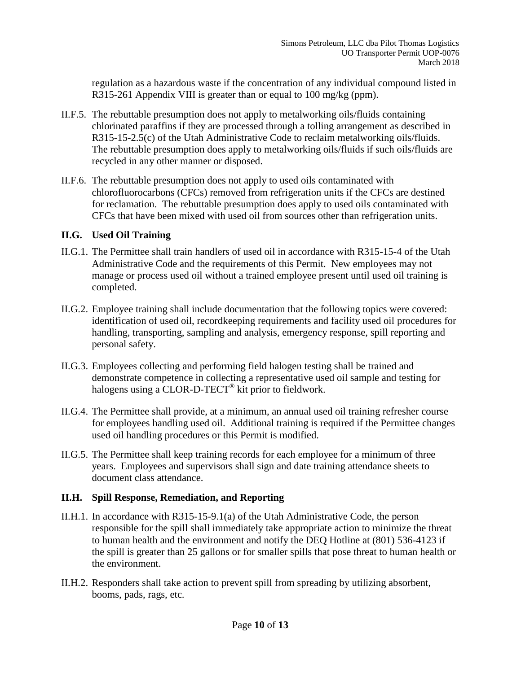regulation as a hazardous waste if the concentration of any individual compound listed in R315-261 Appendix VIII is greater than or equal to 100 mg/kg (ppm).

- II.F.5. The rebuttable presumption does not apply to metalworking oils/fluids containing chlorinated paraffins if they are processed through a tolling arrangement as described in R315-15-2.5(c) of the Utah Administrative Code to reclaim metalworking oils/fluids. The rebuttable presumption does apply to metalworking oils/fluids if such oils/fluids are recycled in any other manner or disposed.
- II.F.6. The rebuttable presumption does not apply to used oils contaminated with chlorofluorocarbons (CFCs) removed from refrigeration units if the CFCs are destined for reclamation. The rebuttable presumption does apply to used oils contaminated with CFCs that have been mixed with used oil from sources other than refrigeration units.

#### **II.G. Used Oil Training**

- II.G.1. The Permittee shall train handlers of used oil in accordance with R315-15-4 of the Utah Administrative Code and the requirements of this Permit. New employees may not manage or process used oil without a trained employee present until used oil training is completed.
- II.G.2. Employee training shall include documentation that the following topics were covered: identification of used oil, recordkeeping requirements and facility used oil procedures for handling, transporting, sampling and analysis, emergency response, spill reporting and personal safety.
- II.G.3. Employees collecting and performing field halogen testing shall be trained and demonstrate competence in collecting a representative used oil sample and testing for halogens using a CLOR-D-TECT<sup>®</sup> kit prior to fieldwork.
- II.G.4. The Permittee shall provide, at a minimum, an annual used oil training refresher course for employees handling used oil. Additional training is required if the Permittee changes used oil handling procedures or this Permit is modified.
- II.G.5. The Permittee shall keep training records for each employee for a minimum of three years. Employees and supervisors shall sign and date training attendance sheets to document class attendance.

## **II.H. Spill Response, Remediation, and Reporting**

- II.H.1. In accordance with R315-15-9.1(a) of the Utah Administrative Code, the person responsible for the spill shall immediately take appropriate action to minimize the threat to human health and the environment and notify the DEQ Hotline at (801) 536-4123 if the spill is greater than 25 gallons or for smaller spills that pose threat to human health or the environment.
- II.H.2. Responders shall take action to prevent spill from spreading by utilizing absorbent, booms, pads, rags, etc.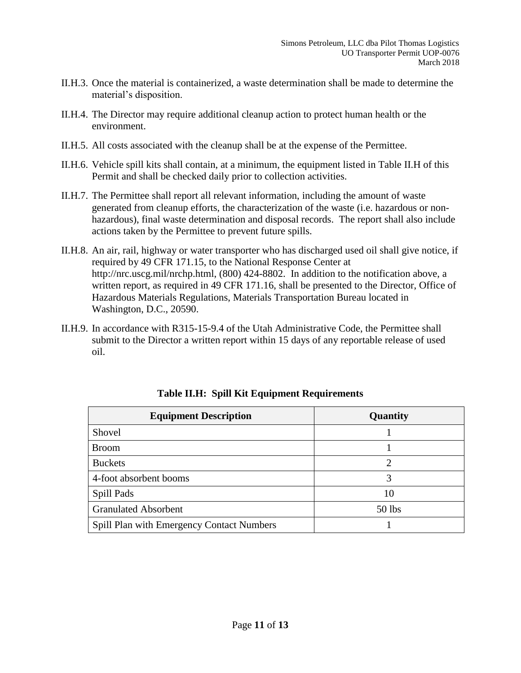- II.H.3. Once the material is containerized, a waste determination shall be made to determine the material's disposition.
- II.H.4. The Director may require additional cleanup action to protect human health or the environment.
- II.H.5. All costs associated with the cleanup shall be at the expense of the Permittee.
- II.H.6. Vehicle spill kits shall contain, at a minimum, the equipment listed in Table II.H of this Permit and shall be checked daily prior to collection activities.
- II.H.7. The Permittee shall report all relevant information, including the amount of waste generated from cleanup efforts, the characterization of the waste (i.e. hazardous or nonhazardous), final waste determination and disposal records. The report shall also include actions taken by the Permittee to prevent future spills.
- II.H.8. An air, rail, highway or water transporter who has discharged used oil shall give notice, if required by 49 CFR 171.15, to the National Response Center at http://nrc.uscg.mil/nrchp.html, (800) 424-8802. In addition to the notification above, a written report, as required in 49 CFR 171.16, shall be presented to the Director, Office of Hazardous Materials Regulations, Materials Transportation Bureau located in Washington, D.C., 20590.
- II.H.9. In accordance with R315-15-9.4 of the Utah Administrative Code, the Permittee shall submit to the Director a written report within 15 days of any reportable release of used oil.

| <b>Equipment Description</b>                     | Quantity |
|--------------------------------------------------|----------|
| Shovel                                           |          |
| <b>Broom</b>                                     |          |
| <b>Buckets</b>                                   | ∍        |
| 4-foot absorbent booms                           | 3        |
| Spill Pads                                       | 10       |
| <b>Granulated Absorbent</b>                      | 50 lbs   |
| <b>Spill Plan with Emergency Contact Numbers</b> |          |

## **Table II.H: Spill Kit Equipment Requirements**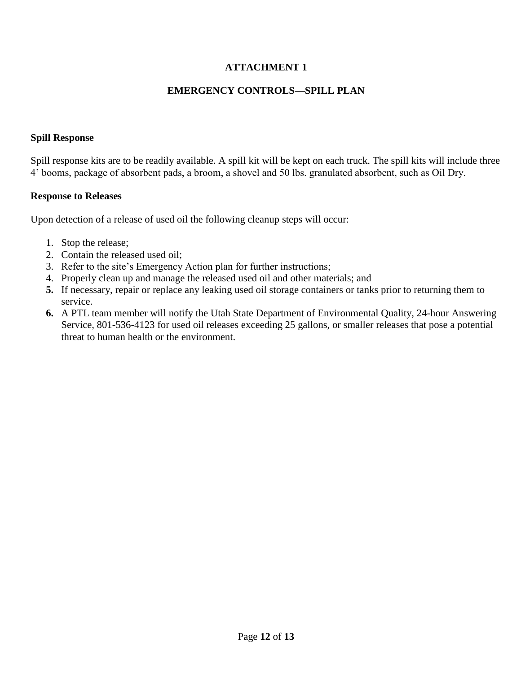# **ATTACHMENT 1**

## **EMERGENCY CONTROLS—SPILL PLAN**

#### **Spill Response**

Spill response kits are to be readily available. A spill kit will be kept on each truck. The spill kits will include three 4' booms, package of absorbent pads, a broom, a shovel and 50 lbs. granulated absorbent, such as Oil Dry.

#### **Response to Releases**

Upon detection of a release of used oil the following cleanup steps will occur:

- 1. Stop the release;
- 2. Contain the released used oil;
- 3. Refer to the site's Emergency Action plan for further instructions;
- 4. Properly clean up and manage the released used oil and other materials; and
- **5.** If necessary, repair or replace any leaking used oil storage containers or tanks prior to returning them to service.
- **6.** A PTL team member will notify the Utah State Department of Environmental Quality, 24-hour Answering Service, 801-536-4123 for used oil releases exceeding 25 gallons, or smaller releases that pose a potential threat to human health or the environment.